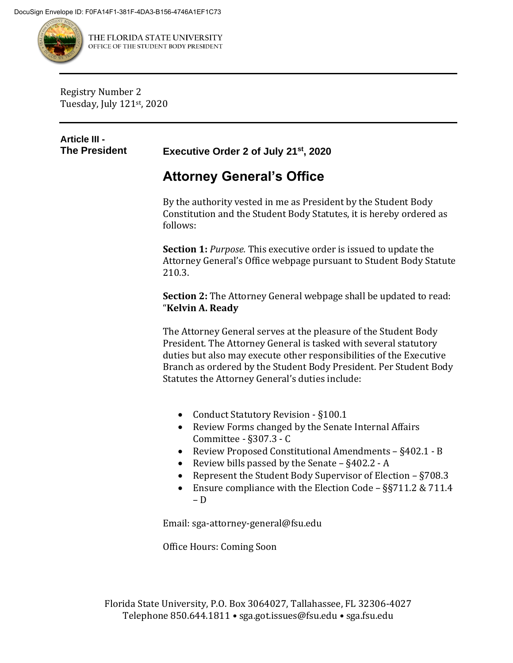

THE FLORIDA STATE UNIVERSITY OFFICE OF THE STUDENT BODY PRESIDENT

Registry Number 2 Tuesday, July 121st , 2020

## **Article III -**

**The President Executive Order 2 of July 21st, 2020**

## **Attorney General's Office**

By the authority vested in me as President by the Student Body Constitution and the Student Body Statutes, it is hereby ordered as follows:

**Section 1:** *Purpose.* This executive order is issued to update the Attorney General's Office webpage pursuant to Student Body Statute 210.3.

**Section 2:** The Attorney General webpage shall be updated to read: "**Kelvin A. Ready**

The Attorney General serves at the pleasure of the Student Body President. The Attorney General is tasked with several statutory duties but also may execute other responsibilities of the Executive Branch as ordered by the Student Body President. Per Student Body Statutes the Attorney General's duties include:

- Conduct Statutory Revision §100.1
- Review Forms changed by the Senate Internal Affairs Committee - §307.3 - C
- Review Proposed Constitutional Amendments §402.1 B
- Review bills passed by the Senate §402.2 A
- Represent the Student Body Supervisor of Election §708.3
- Ensure compliance with the Election Code §§711.2 & 711.4 – D

Email: sga-attorney-general@fsu.edu

Office Hours: Coming Soon

Florida State University, P.O. Box 3064027, Tallahassee, FL 32306-4027 Telephone 850.644.1811 • sga.got.issues@fsu.edu • sga.fsu.edu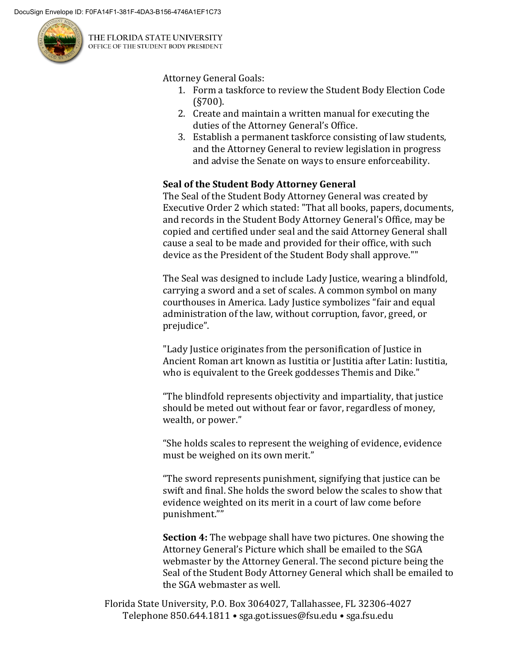

THE FLORIDA STATE UNIVERSITY OFFICE OF THE STUDENT BODY PRESIDENT

Attorney General Goals:

- 1. Form a taskforce to review the Student Body Election Code (§700).
- 2. Create and maintain a written manual for executing the duties of the Attorney General's Office.
- 3. Establish a permanent taskforce consisting of law students, and the Attorney General to review legislation in progress and advise the Senate on ways to ensure enforceability.

## **Seal of the Student Body Attorney General**

The Seal of the Student Body Attorney General was created by Executive Order 2 which stated: "That all books, papers, documents, and records in the Student Body Attorney General's Office, may be copied and certified under seal and the said Attorney General shall cause a seal to be made and provided for their office, with such device as the President of the Student Body shall approve.""

The Seal was designed to include Lady Justice, wearing a blindfold, carrying a sword and a set of scales. A common symbol on many courthouses in America. Lady Justice symbolizes "fair and equal administration of the law, without corruption, favor, greed, or prejudice".

"Lady Justice originates from the personification of Justice in Ancient Roman art known as Iustitia or Justitia after Latin: Iustitia, who is equivalent to the Greek goddesses Themis and Dike."

"The blindfold represents objectivity and impartiality, that justice should be meted out without fear or favor, regardless of money, wealth, or power."

"She holds scales to represent the weighing of evidence, evidence must be weighed on its own merit."

"The sword represents punishment, signifying that justice can be swift and final. She holds the sword below the scales to show that evidence weighted on its merit in a court of law come before punishment.""

**Section 4:** The webpage shall have two pictures. One showing the Attorney General's Picture which shall be emailed to the SGA webmaster by the Attorney General. The second picture being the Seal of the Student Body Attorney General which shall be emailed to the SGA webmaster as well.

Florida State University, P.O. Box 3064027, Tallahassee, FL 32306-4027 Telephone 850.644.1811 • sga.got.issues@fsu.edu • sga.fsu.edu